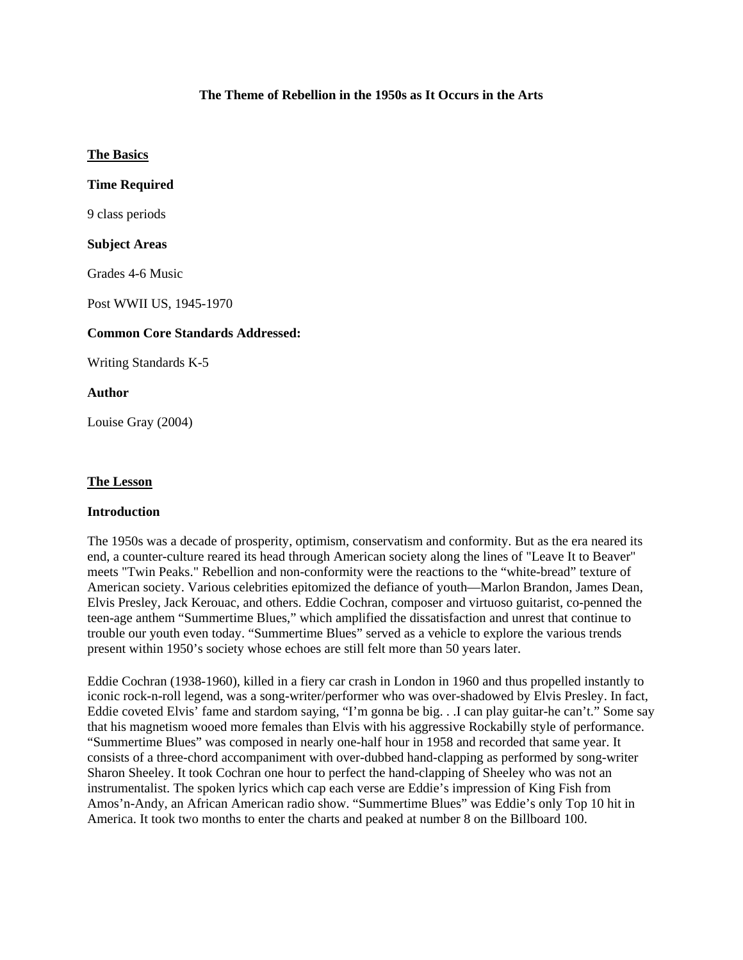## **The Theme of Rebellion in the 1950s as It Occurs in the Arts**

### **The Basics**

## **Time Required**

9 class periods

### **Subject Areas**

Grades 4-6 Music

Post WWII US, 1945-1970

### **Common Core Standards Addressed:**

Writing Standards K-5

### **Author**

Louise Gray (2004)

#### **The Lesson**

#### **Introduction**

The 1950s was a decade of prosperity, optimism, conservatism and conformity. But as the era neared its end, a counter-culture reared its head through American society along the lines of "Leave It to Beaver" meets "Twin Peaks." Rebellion and non-conformity were the reactions to the "white-bread" texture of American society. Various celebrities epitomized the defiance of youth—Marlon Brandon, James Dean, Elvis Presley, Jack Kerouac, and others. Eddie Cochran, composer and virtuoso guitarist, co-penned the teen-age anthem "Summertime Blues," which amplified the dissatisfaction and unrest that continue to trouble our youth even today. "Summertime Blues" served as a vehicle to explore the various trends present within 1950's society whose echoes are still felt more than 50 years later.

Eddie Cochran (1938-1960), killed in a fiery car crash in London in 1960 and thus propelled instantly to iconic rock-n-roll legend, was a song-writer/performer who was over-shadowed by Elvis Presley. In fact, Eddie coveted Elvis' fame and stardom saying, "I'm gonna be big. . .I can play guitar-he can't." Some say that his magnetism wooed more females than Elvis with his aggressive Rockabilly style of performance. "Summertime Blues" was composed in nearly one-half hour in 1958 and recorded that same year. It consists of a three-chord accompaniment with over-dubbed hand-clapping as performed by song-writer Sharon Sheeley. It took Cochran one hour to perfect the hand-clapping of Sheeley who was not an instrumentalist. The spoken lyrics which cap each verse are Eddie's impression of King Fish from Amos'n-Andy, an African American radio show. "Summertime Blues" was Eddie's only Top 10 hit in America. It took two months to enter the charts and peaked at number 8 on the Billboard 100.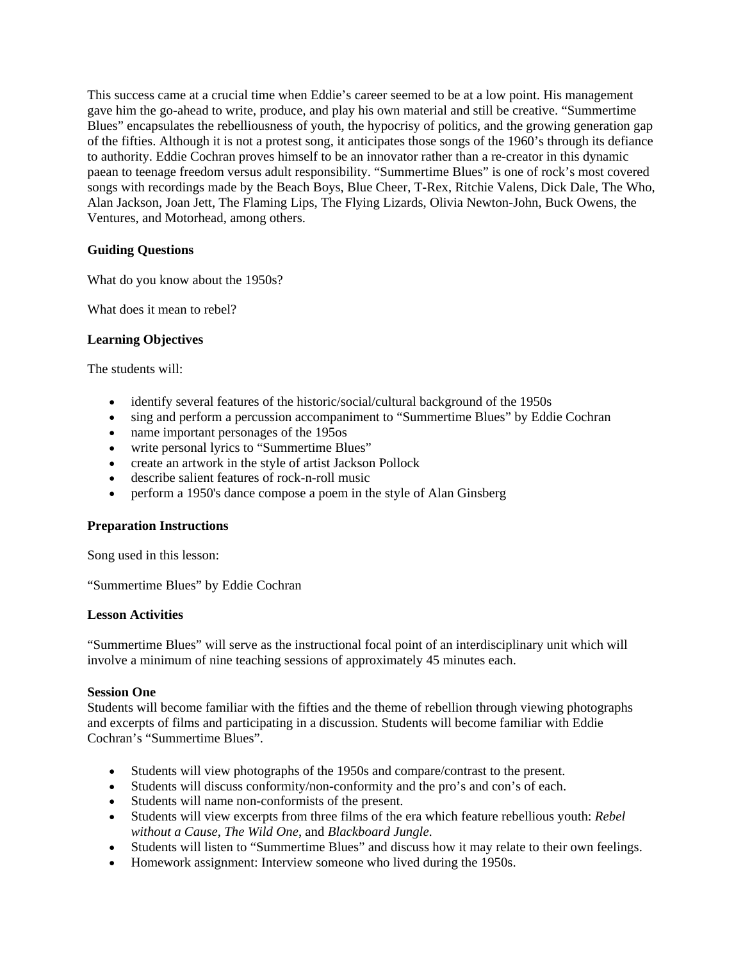This success came at a crucial time when Eddie's career seemed to be at a low point. His management gave him the go-ahead to write, produce, and play his own material and still be creative. "Summertime Blues" encapsulates the rebelliousness of youth, the hypocrisy of politics, and the growing generation gap of the fifties. Although it is not a protest song, it anticipates those songs of the 1960's through its defiance to authority. Eddie Cochran proves himself to be an innovator rather than a re-creator in this dynamic paean to teenage freedom versus adult responsibility. "Summertime Blues" is one of rock's most covered songs with recordings made by the Beach Boys, Blue Cheer, T-Rex, Ritchie Valens, Dick Dale, The Who, Alan Jackson, Joan Jett, The Flaming Lips, The Flying Lizards, Olivia Newton-John, Buck Owens, the Ventures, and Motorhead, among others.

# **Guiding Questions**

What do you know about the 1950s?

What does it mean to rebel?

# **Learning Objectives**

The students will:

- identify several features of the historic/social/cultural background of the 1950s
- sing and perform a percussion accompaniment to "Summertime Blues" by Eddie Cochran
- name important personages of the 195os
- write personal lyrics to "Summertime Blues"
- create an artwork in the style of artist Jackson Pollock
- describe salient features of rock-n-roll music
- perform a 1950's dance compose a poem in the style of Alan Ginsberg

## **Preparation Instructions**

Song used in this lesson:

"Summertime Blues" by Eddie Cochran

## **Lesson Activities**

"Summertime Blues" will serve as the instructional focal point of an interdisciplinary unit which will involve a minimum of nine teaching sessions of approximately 45 minutes each.

## **Session One**

Students will become familiar with the fifties and the theme of rebellion through viewing photographs and excerpts of films and participating in a discussion. Students will become familiar with Eddie Cochran's "Summertime Blues".

- Students will view photographs of the 1950s and compare/contrast to the present.
- Students will discuss conformity/non-conformity and the pro's and con's of each.
- Students will name non-conformists of the present.
- Students will view excerpts from three films of the era which feature rebellious youth: *Rebel without a Cause*, *The Wild One*, and *Blackboard Jungle*.
- Students will listen to "Summertime Blues" and discuss how it may relate to their own feelings.
- Homework assignment: Interview someone who lived during the 1950s.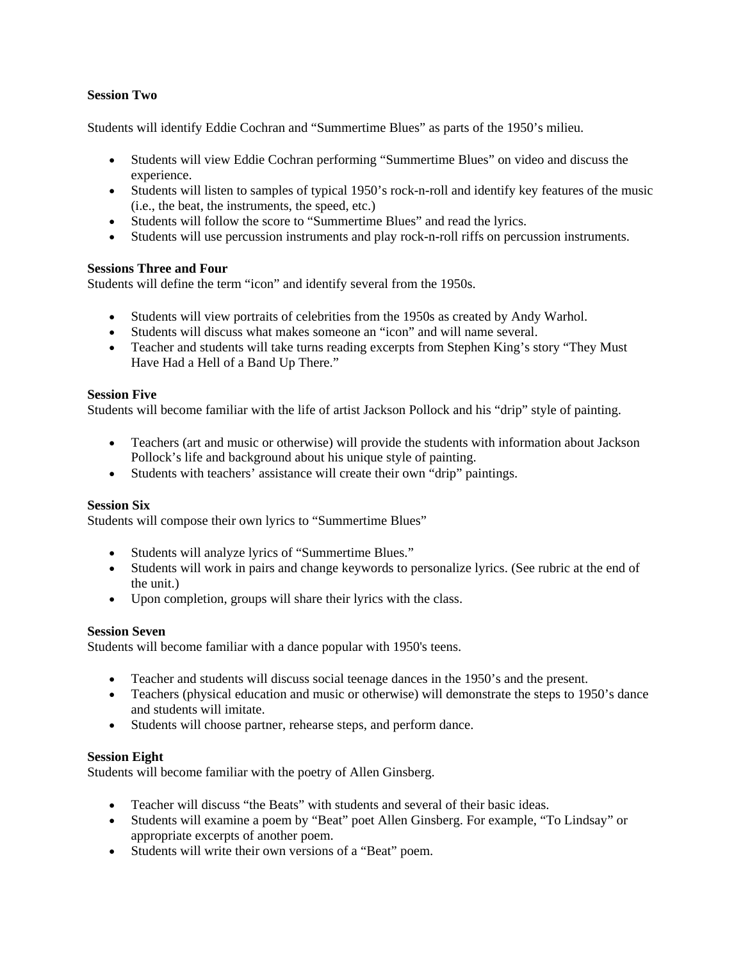## **Session Two**

Students will identify Eddie Cochran and "Summertime Blues" as parts of the 1950's milieu.

- Students will view Eddie Cochran performing "Summertime Blues" on video and discuss the experience.
- Students will listen to samples of typical 1950's rock-n-roll and identify key features of the music (i.e., the beat, the instruments, the speed, etc.)
- Students will follow the score to "Summertime Blues" and read the lyrics.
- Students will use percussion instruments and play rock-n-roll riffs on percussion instruments.

### **Sessions Three and Four**

Students will define the term "icon" and identify several from the 1950s.

- Students will view portraits of celebrities from the 1950s as created by Andy Warhol.
- Students will discuss what makes someone an "icon" and will name several.
- Teacher and students will take turns reading excerpts from Stephen King's story "They Must" Have Had a Hell of a Band Up There."

#### **Session Five**

Students will become familiar with the life of artist Jackson Pollock and his "drip" style of painting.

- Teachers (art and music or otherwise) will provide the students with information about Jackson Pollock's life and background about his unique style of painting.
- Students with teachers' assistance will create their own "drip" paintings.

#### **Session Six**

Students will compose their own lyrics to "Summertime Blues"

- Students will analyze lyrics of "Summertime Blues."
- Students will work in pairs and change keywords to personalize lyrics. (See rubric at the end of the unit.)
- Upon completion, groups will share their lyrics with the class.

#### **Session Seven**

Students will become familiar with a dance popular with 1950's teens.

- Teacher and students will discuss social teenage dances in the 1950's and the present.
- Teachers (physical education and music or otherwise) will demonstrate the steps to 1950's dance and students will imitate.
- Students will choose partner, rehearse steps, and perform dance.

## **Session Eight**

Students will become familiar with the poetry of Allen Ginsberg.

- Teacher will discuss "the Beats" with students and several of their basic ideas.
- Students will examine a poem by "Beat" poet Allen Ginsberg. For example, "To Lindsay" or appropriate excerpts of another poem.
- Students will write their own versions of a "Beat" poem.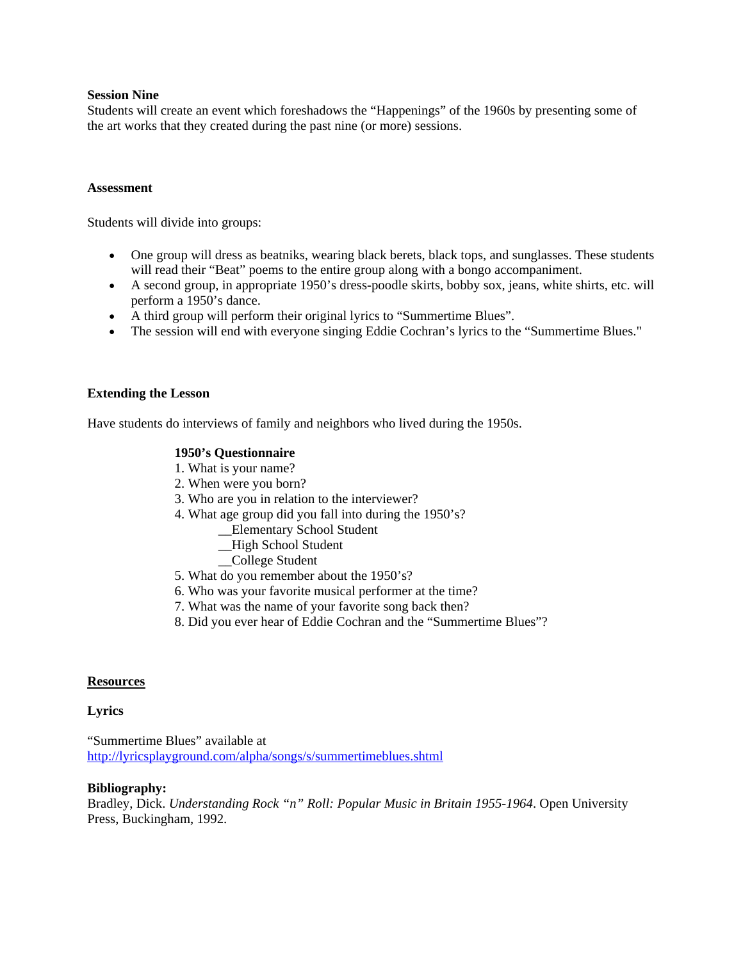### **Session Nine**

Students will create an event which foreshadows the "Happenings" of the 1960s by presenting some of the art works that they created during the past nine (or more) sessions.

#### **Assessment**

Students will divide into groups:

- One group will dress as beatniks, wearing black berets, black tops, and sunglasses. These students will read their "Beat" poems to the entire group along with a bongo accompaniment.
- A second group, in appropriate 1950's dress-poodle skirts, bobby sox, jeans, white shirts, etc. will perform a 1950's dance.
- A third group will perform their original lyrics to "Summertime Blues".
- The session will end with everyone singing Eddie Cochran's lyrics to the "Summertime Blues."

#### **Extending the Lesson**

Have students do interviews of family and neighbors who lived during the 1950s.

### **1950's Questionnaire**

- 1. What is your name?
- 2. When were you born?
- 3. Who are you in relation to the interviewer?
- 4. What age group did you fall into during the 1950's?
	- \_\_Elementary School Student
	- \_\_High School Student
	- \_\_College Student
- 5. What do you remember about the 1950's?
- 6. Who was your favorite musical performer at the time?
- 7. What was the name of your favorite song back then?
- 8. Did you ever hear of Eddie Cochran and the "Summertime Blues"?

#### **Resources**

#### **Lyrics**

"Summertime Blues" available at http://lyricsplayground.com/alpha/songs/s/summertimeblues.shtml

#### **Bibliography:**

Bradley, Dick. *Understanding Rock "n" Roll: Popular Music in Britain 1955-1964*. Open University Press, Buckingham, 1992.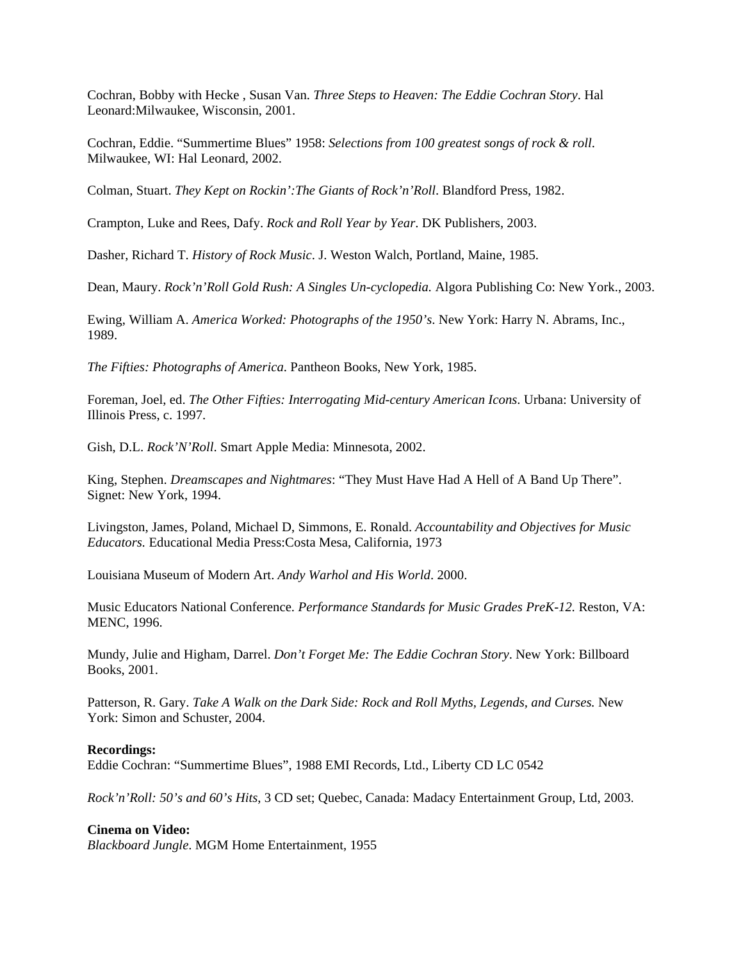Cochran, Bobby with Hecke , Susan Van. *Three Steps to Heaven: The Eddie Cochran Story*. Hal Leonard:Milwaukee, Wisconsin, 2001.

Cochran, Eddie. "Summertime Blues" 1958: *Selections from 100 greatest songs of rock & roll*. Milwaukee, WI: Hal Leonard, 2002.

Colman, Stuart. *They Kept on Rockin':The Giants of Rock'n'Roll*. Blandford Press, 1982.

Crampton, Luke and Rees, Dafy. *Rock and Roll Year by Year*. DK Publishers, 2003.

Dasher, Richard T. *History of Rock Music*. J. Weston Walch, Portland, Maine, 1985.

Dean, Maury. *Rock'n'Roll Gold Rush: A Singles Un-cyclopedia.* Algora Publishing Co: New York., 2003.

Ewing, William A. *America Worked: Photographs of the 1950's*. New York: Harry N. Abrams, Inc., 1989.

*The Fifties: Photographs of America*. Pantheon Books, New York, 1985.

Foreman, Joel, ed. *The Other Fifties: Interrogating Mid-century American Icons*. Urbana: University of Illinois Press, c. 1997.

Gish, D.L. *Rock'N'Roll*. Smart Apple Media: Minnesota, 2002.

King, Stephen. *Dreamscapes and Nightmares*: "They Must Have Had A Hell of A Band Up There". Signet: New York, 1994.

Livingston, James, Poland, Michael D, Simmons, E. Ronald. *Accountability and Objectives for Music Educators.* Educational Media Press:Costa Mesa, California, 1973

Louisiana Museum of Modern Art. *Andy Warhol and His World*. 2000.

Music Educators National Conference. *Performance Standards for Music Grades PreK-12.* Reston, VA: MENC, 1996.

Mundy, Julie and Higham, Darrel. *Don't Forget Me: The Eddie Cochran Story*. New York: Billboard Books, 2001.

Patterson, R. Gary. *Take A Walk on the Dark Side: Rock and Roll Myths, Legends, and Curses.* New York: Simon and Schuster, 2004.

#### **Recordings:**

Eddie Cochran: "Summertime Blues", 1988 EMI Records, Ltd., Liberty CD LC 0542

*Rock'n'Roll: 50's and 60's Hits*, 3 CD set; Quebec, Canada: Madacy Entertainment Group, Ltd, 2003.

#### **Cinema on Video:**

*Blackboard Jungle*. MGM Home Entertainment, 1955